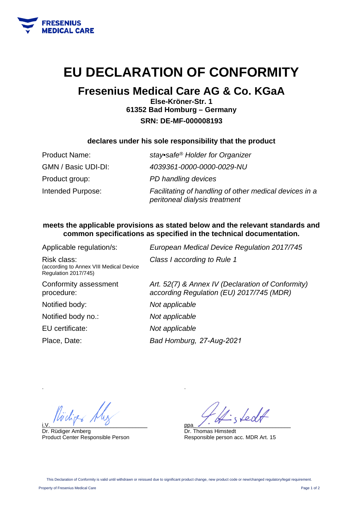

# **EU DECLARATION OF CONFORMITY**

# **Fresenius Medical Care AG & Co. KGaA**

**Else-Kröner-Str. 1 61352 Bad Homburg – Germany SRN: DE-MF-000008193** 

### **declares under his sole responsibility that the product**

| <b>Product Name:</b> | stay•safe <sup>®</sup> Holder for Organizer                                             |
|----------------------|-----------------------------------------------------------------------------------------|
| GMN / Basic UDI-DI:  | 4039361-0000-0000-0029-NU                                                               |
| Product group:       | PD handling devices                                                                     |
| Intended Purpose:    | Facilitating of handling of other medical devices in a<br>peritoneal dialysis treatment |

### **meets the applicable provisions as stated below and the relevant standards and common specifications as specified in the technical documentation.**

| Applicable regulation/s:                                                       | European Medical Device Regulation 2017/745                                                   |
|--------------------------------------------------------------------------------|-----------------------------------------------------------------------------------------------|
| Risk class:<br>(according to Annex VIII Medical Device<br>Regulation 2017/745) | Class I according to Rule 1                                                                   |
| Conformity assessment<br>procedure:                                            | Art. 52(7) & Annex IV (Declaration of Conformity)<br>according Regulation (EU) 2017/745 (MDR) |
| Notified body:                                                                 | Not applicable                                                                                |
| Notified body no.:                                                             | Not applicable                                                                                |
| EU certificate:                                                                | Not applicable                                                                                |
| Place, Date:                                                                   | Bad Homburg, 27-Aug-2021                                                                      |
|                                                                                |                                                                                               |

i.V.  $\overline{y}$  and  $\overline{y}$  and  $\overline{y}$  and  $\overline{y}$  and  $\overline{y}$  and  $\overline{y}$  and  $\overline{y}$  and  $\overline{y}$  and  $\overline{y}$  and  $\overline{y}$  and  $\overline{y}$  and  $\overline{y}$  and  $\overline{y}$  and  $\overline{y}$  and  $\overline{y}$  and  $\overline{y}$  and  $\overline{y}$ 

Dr. Rüdiger Amberg Product Center Responsible Person

fedt ppa\_\_\_\_\_\_\_\_\_\_\_\_\_\_\_\_\_\_\_\_\_\_\_\_\_\_\_\_\_\_\_\_

Dr. Thomas Himstedt Responsible person acc. MDR Art. 15

.

.